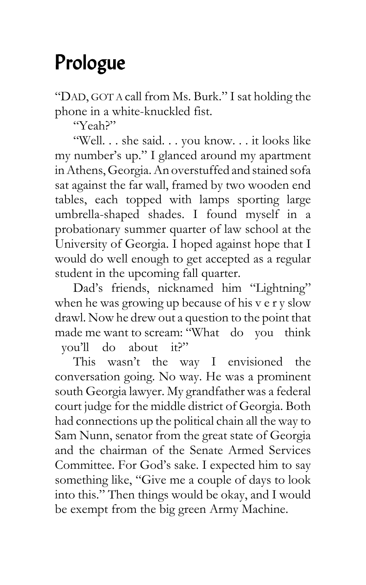## Prologue

"DAD, GOT A call from Ms. Burk." I sat holding the phone in a white-knuckled fist.

"Yeah?"

"Well. . . she said. . . you know. . . it looks like my number's up." I glanced around my apartment in Athens, Georgia. An overstuffed and stained sofa sat against the far wall, framed by two wooden end tables, each topped with lamps sporting large umbrella-shaped shades. I found myself in a probationary summer quarter of law school at the University of Georgia. I hoped against hope that I would do well enough to get accepted as a regular student in the upcoming fall quarter.

Dad's friends, nicknamed him "Lightning" when he was growing up because of his v e r y slow drawl. Now he drew out a question to the point that made me want to scream: "What do you think you'll do about it?"

This wasn't the way I envisioned the conversation going. No way. He was a prominent south Georgia lawyer. My grandfather was a federal court judge for the middle district of Georgia. Both had connections up the political chain all the way to Sam Nunn, senator from the great state of Georgia and the chairman of the Senate Armed Services Committee. For God's sake. I expected him to say something like, "Give me a couple of days to look into this." Then things would be okay, and I would be exempt from the big green Army Machine.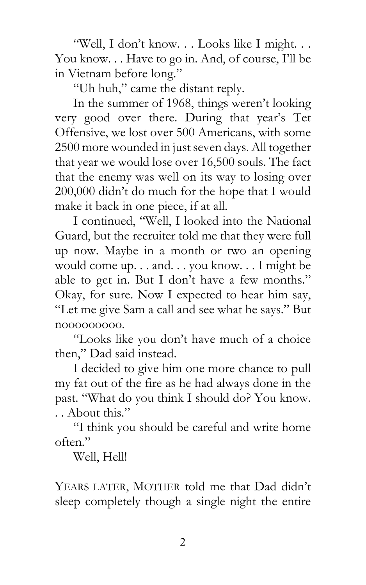"Well, I don't know. . . Looks like I might. . . You know. . . Have to go in. And, of course, I'll be in Vietnam before long."

"Uh huh," came the distant reply.

In the summer of 1968, things weren't looking very good over there. During that year's Tet Offensive, we lost over 500 Americans, with some 2500 more wounded in just seven days. All together that year we would lose over 16,500 souls. The fact that the enemy was well on its way to losing over 200,000 didn't do much for the hope that I would make it back in one piece, if at all.

I continued, "Well, I looked into the National Guard, but the recruiter told me that they were full up now. Maybe in a month or two an opening would come up. . . and. . . you know. . . I might be able to get in. But I don't have a few months." Okay, for sure. Now I expected to hear him say, "Let me give Sam a call and see what he says." But nooooooooo.

"Looks like you don't have much of a choice then," Dad said instead.

I decided to give him one more chance to pull my fat out of the fire as he had always done in the past. "What do you think I should do? You know. . . About this."

"I think you should be careful and write home often."

Well, Hell!

YEARS LATER, MOTHER told me that Dad didn't sleep completely though a single night the entire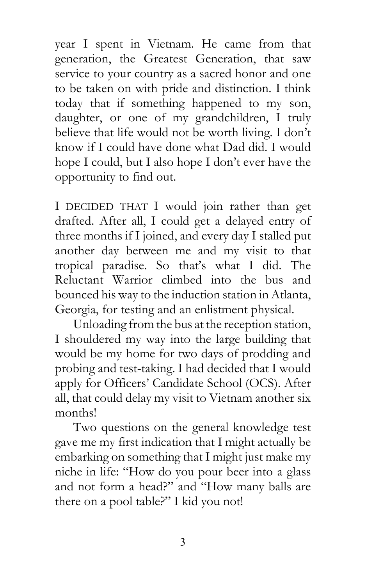year I spent in Vietnam. He came from that generation, the Greatest Generation, that saw service to your country as a sacred honor and one to be taken on with pride and distinction. I think today that if something happened to my son, daughter, or one of my grandchildren, I truly believe that life would not be worth living. I don't know if I could have done what Dad did. I would hope I could, but I also hope I don't ever have the opportunity to find out.

I DECIDED THAT I would join rather than get drafted. After all, I could get a delayed entry of three months if I joined, and every day I stalled put another day between me and my visit to that tropical paradise. So that's what I did. The Reluctant Warrior climbed into the bus and bounced his way to the induction station in Atlanta, Georgia, for testing and an enlistment physical.

Unloading from the bus at the reception station, I shouldered my way into the large building that would be my home for two days of prodding and probing and test-taking. I had decided that I would apply for Officers' Candidate School (OCS). After all, that could delay my visit to Vietnam another six months!

Two questions on the general knowledge test gave me my first indication that I might actually be embarking on something that I might just make my niche in life: "How do you pour beer into a glass and not form a head?" and "How many balls are there on a pool table?" I kid you not!